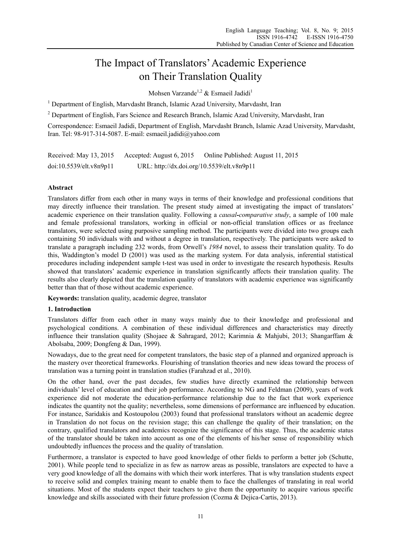# The Impact of Translators' Academic Experience on Their Translation Quality

Mohsen Varzande<sup>1,2</sup> & Esmaeil Jadidi<sup>1</sup>

<sup>1</sup> Department of English, Marvdasht Branch, Islamic Azad University, Marvdasht, Iran

<sup>2</sup> Department of English, Fars Science and Research Branch, Islamic Azad University, Marvdasht, Iran

Correspondence: Esmaeil Jadidi, Department of English, Marvdasht Branch, Islamic Azad University, Marvdasht, Iran. Tel: 98-917-314-5087. E-mail: esmaeil.jadidi@yahoo.com

| Received: May 13, 2015  | Accepted: August 6, 2015                   | Online Published: August 11, 2015 |
|-------------------------|--------------------------------------------|-----------------------------------|
| doi:10.5539/elt.v8n9p11 | URL: http://dx.doi.org/10.5539/elt.v8n9p11 |                                   |

# **Abstract**

Translators differ from each other in many ways in terms of their knowledge and professional conditions that may directly influence their translation. The present study aimed at investigating the impact of translators' academic experience on their translation quality. Following a *causal-comparative study*, a sample of 100 male and female professional translators, working in official or non-official translation offices or as freelance translators, were selected using purposive sampling method. The participants were divided into two groups each containing 50 individuals with and without a degree in translation, respectively. The participants were asked to translate a paragraph including 232 words, from Orwell's *1984* novel, to assess their translation quality. To do this, Waddington's model D (2001) was used as the marking system. For data analysis, inferential statistical procedures including independent sample t-test was used in order to investigate the research hypothesis. Results showed that translators' academic experience in translation significantly affects their translation quality. The results also clearly depicted that the translation quality of translators with academic experience was significantly better than that of those without academic experience.

**Keywords:** translation quality, academic degree, translator

# **1. Introduction**

Translators differ from each other in many ways mainly due to their knowledge and professional and psychological conditions. A combination of these individual differences and characteristics may directly influence their translation quality (Shojaee & Sahragard, 2012; Karimnia & Mahjubi, 2013; Shangarffam & Abolsaba, 2009; Dongfeng & Dan, 1999).

Nowadays, due to the great need for competent translators, the basic step of a planned and organized approach is the mastery over theoretical frameworks. Flourishing of translation theories and new ideas toward the process of translation was a turning point in translation studies (Farahzad et al., 2010).

On the other hand, over the past decades, few studies have directly examined the relationship between individuals' level of education and their job performance. According to NG and Feldman (2009), years of work experience did not moderate the education-performance relationship due to the fact that work experience indicates the quantity not the quality; nevertheless, some dimensions of performance are influenced by education. For instance, Saridakis and Kostoupolou (2003) found that professional translators without an academic degree in Translation do not focus on the revision stage; this can challenge the quality of their translation; on the contrary, qualified translators and academics recognize the significance of this stage. Thus, the academic status of the translator should be taken into account as one of the elements of his/her sense of responsibility which undoubtedly influences the process and the quality of translation.

Furthermore, a translator is expected to have good knowledge of other fields to perform a better job (Schutte, 2001). While people tend to specialize in as few as narrow areas as possible, translators are expected to have a very good knowledge of all the domains with which their work interferes. That is why translation students expect to receive solid and complex training meant to enable them to face the challenges of translating in real world situations. Most of the students expect their teachers to give them the opportunity to acquire various specific knowledge and skills associated with their future profession (Cozma & Dejica-Cartis, 2013).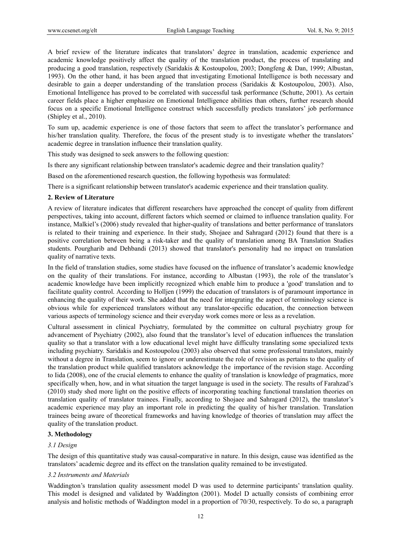A brief review of the literature indicates that translators' degree in translation, academic experience and academic knowledge positively affect the quality of the translation product, the process of translating and producing a good translation, respectively (Saridakis & Kostoupolou, 2003; Dongfeng & Dan, 1999; Albustan, 1993). On the other hand, it has been argued that investigating Emotional Intelligence is both necessary and desirable to gain a deeper understanding of the translation process (Saridakis & Kostoupolou, 2003). Also, Emotional Intelligence has proved to be correlated with successful task performance (Schutte, 2001). As certain career fields place a higher emphasize on Emotional Intelligence abilities than others, further research should focus on a specific Emotional Intelligence construct which successfully predicts translators' job performance (Shipley et al., 2010).

To sum up, academic experience is one of those factors that seem to affect the translator's performance and his/her translation quality. Therefore, the focus of the present study is to investigate whether the translators' academic degree in translation influence their translation quality.

This study was designed to seek answers to the following question:

Is there any significant relationship between translator's academic degree and their translation quality?

Based on the aforementioned research question, the following hypothesis was formulated:

There is a significant relationship between translator's academic experience and their translation quality.

## **2. Review of Literature**

A review of literature indicates that different researchers have approached the concept of quality from different perspectives, taking into account, different factors which seemed or claimed to influence translation quality. For instance, Malkiel's (2006) study revealed that higher-quality of translations and better performance of translators is related to their training and experience. In their study, Shojaee and Sahragard (2012) found that there is a positive correlation between being a risk-taker and the quality of translation among BA Translation Studies students. Pourgharib and Dehbandi (2013) showed that translator's personality had no impact on translation quality of narrative texts.

In the field of translation studies, some studies have focused on the influence of translator's academic knowledge on the quality of their translations. For instance, according to Albustan (1993), the role of the translator's academic knowledge have been implicitly recognized which enable him to produce a 'good' translation and to facilitate quality control. According to Holljen (1999) the education of translators is of paramount importance in enhancing the quality of their work. She added that the need for integrating the aspect of terminology science is obvious while for experienced translators without any translator-specific education, the connection between various aspects of terminology science and their everyday work comes more or less as a revelation.

Cultural assessment in clinical Psychiatry, formulated by the committee on cultural psychiatry group for advancement of Psychiatry (2002), also found that the translator's level of education influences the translation quality so that a translator with a low educational level might have difficulty translating some specialized texts including psychiatry. Saridakis and Kostoupolou (2003) also observed that some professional translators, mainly without a degree in Translation, seem to ignore or underestimate the role of revision as pertains to the quality of the translation product while qualified translators acknowledge the importance of the revision stage. According to Iida (2008), one of the crucial elements to enhance the quality of translation is knowledge of pragmatics, more specifically when, how, and in what situation the target language is used in the society. The results of Farahzad's (2010) study shed more light on the positive effects of incorporating teaching functional translation theories on translation quality of translator trainees. Finally, according to Shojaee and Sahragard (2012), the translator's academic experience may play an important role in predicting the quality of his/her translation. Translation trainees being aware of theoretical frameworks and having knowledge of theories of translation may affect the quality of the translation product.

#### **3. Methodology**

#### *3.1 Design*

The design of this quantitative study was causal-comparative in nature. In this design, cause was identified as the translators' academic degree and its effect on the translation quality remained to be investigated.

#### *3.2 Instruments and Materials*

Waddington's translation quality assessment model D was used to determine participants' translation quality. This model is designed and validated by Waddington (2001). Model D actually consists of combining error analysis and holistic methods of Waddington model in a proportion of 70/30, respectively. To do so, a paragraph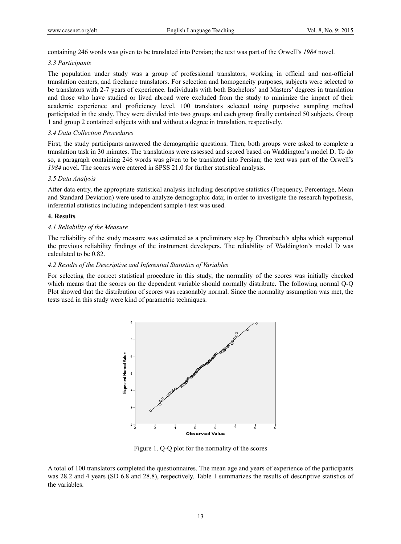containing 246 words was given to be translated into Persian; the text was part of the Orwell's *1984* novel.

# *3.3 Participants*

The population under study was a group of professional translators, working in official and non-official translation centers, and freelance translators. For selection and homogeneity purposes, subjects were selected to be translators with 2-7 years of experience. Individuals with both Bachelors' and Masters' degrees in translation and those who have studied or lived abroad were excluded from the study to minimize the impact of their academic experience and proficiency level. 100 translators selected using purposive sampling method participated in the study. They were divided into two groups and each group finally contained 50 subjects. Group 1 and group 2 contained subjects with and without a degree in translation, respectively.

# *3.4 Data Collection Procedures*

First, the study participants answered the demographic questions. Then, both groups were asked to complete a translation task in 30 minutes. The translations were assessed and scored based on Waddington's model D. To do so, a paragraph containing 246 words was given to be translated into Persian; the text was part of the Orwell's *1984* novel. The scores were entered in SPSS 21.0 for further statistical analysis.

# *3.5 Data Analysis*

After data entry, the appropriate statistical analysis including descriptive statistics (Frequency, Percentage, Mean and Standard Deviation) were used to analyze demographic data; in order to investigate the research hypothesis, inferential statistics including independent sample t-test was used.

## **4. Results**

# *4.1 Reliability of the Measure*

The reliability of the study measure was estimated as a preliminary step by Chronbach's alpha which supported the previous reliability findings of the instrument developers. The reliability of Waddington's model D was calculated to be 0.82.

## *4.2 Results of the Descriptive and Inferential Statistics of Variables*

For selecting the correct statistical procedure in this study, the normality of the scores was initially checked which means that the scores on the dependent variable should normally distribute. The following normal Q-Q Plot showed that the distribution of scores was reasonably normal. Since the normality assumption was met, the tests used in this study were kind of parametric techniques.



Figure 1. Q-Q plot for the normality of the scores

A total of 100 translators completed the questionnaires. The mean age and years of experience of the participants was 28.2 and 4 years (SD 6.8 and 28.8), respectively. Table 1 summarizes the results of descriptive statistics of the variables.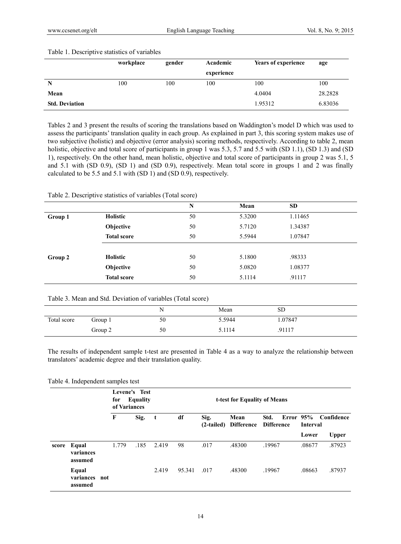# Table 1. Descriptive statistics of variables

|                       | workplace | gender | Academic   | <b>Years of experience</b> | age     |
|-----------------------|-----------|--------|------------|----------------------------|---------|
|                       |           |        | experience |                            |         |
| N                     | 100       | 100    | 100        | 100                        | 100     |
| Mean                  |           |        |            | 4.0404                     | 28.2828 |
| <b>Std. Deviation</b> |           |        |            | 1.95312                    | 6.83036 |

Tables 2 and 3 present the results of scoring the translations based on Waddington's model D which was used to assess the participants' translation quality in each group. As explained in part 3, this scoring system makes use of two subjective (holistic) and objective (error analysis) scoring methods, respectively. According to table 2, mean holistic, objective and total score of participants in group 1 was 5.3, 5.7 and 5.5 with (SD 1.1), (SD 1.3) and (SD 1), respectively. On the other hand, mean holistic, objective and total score of participants in group 2 was 5.1, 5 and 5.1 with (SD 0.9), (SD 1) and (SD 0.9), respectively. Mean total score in groups 1 and 2 was finally calculated to be 5.5 and 5.1 with (SD 1) and (SD 0.9), respectively.

# Table 2. Descriptive statistics of variables (Total score)

|         |                    | N  | Mean   | <b>SD</b> |  |
|---------|--------------------|----|--------|-----------|--|
| Group 1 | Holistic           | 50 | 5.3200 | 1.11465   |  |
|         | Objective          | 50 | 5.7120 | 1.34387   |  |
|         | <b>Total score</b> | 50 | 5.5944 | 1.07847   |  |
|         |                    |    |        |           |  |
| Group 2 | Holistic           | 50 | 5.1800 | .98333    |  |
|         | Objective          | 50 | 5.0820 | 1.08377   |  |
|         | <b>Total score</b> | 50 | 5.1114 | .91117    |  |

#### Table 3. Mean and Std. Deviation of variables (Total score)

|             |         |    | Mean   | <b>SD</b> |
|-------------|---------|----|--------|-----------|
| Total score | Group 1 | 50 | 5.5944 | 1.07847   |
|             | Group 2 | 50 | 5.1114 | .91117    |

The results of independent sample t-test are presented in Table 4 as a way to analyze the relationship between translators' academic degree and their translation quality.

#### Table 4. Independent samples test

|       |                               | Levene's Test<br>for<br><b>Equality</b><br>of Variances |      |       |        | t-test for Equality of Means |                           |                           |                         |              |
|-------|-------------------------------|---------------------------------------------------------|------|-------|--------|------------------------------|---------------------------|---------------------------|-------------------------|--------------|
|       |                               | F                                                       | Sig. | t     | df     | Sig.<br>(2-tailed)           | Mean<br><b>Difference</b> | Std.<br><b>Difference</b> | Error $95%$<br>Interval | Confidence   |
|       |                               |                                                         |      |       |        |                              |                           |                           | Lower                   | <b>Upper</b> |
| score | Equal<br>variances<br>assumed | 1.779                                                   | .185 | 2.419 | 98     | .017                         | .48300                    | .19967                    | .08677                  | .87923       |
|       | Equal<br>variances<br>assumed | not                                                     |      | 2.419 | 95.341 | .017                         | .48300                    | .19967                    | .08663                  | .87937       |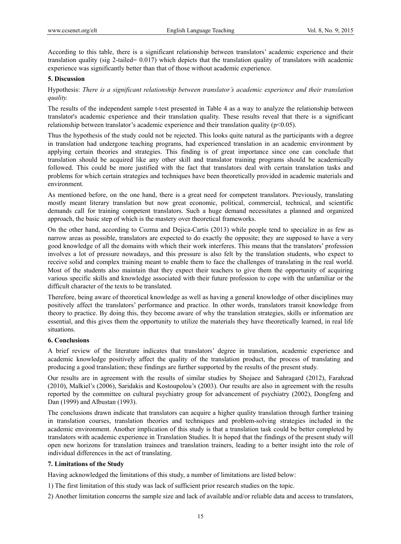According to this table, there is a significant relationship between translators' academic experience and their translation quality (sig 2-tailed= 0.017) which depicts that the translation quality of translators with academic experience was significantly better than that of those without academic experience.

## **5. Discussion**

Hypothesis: *There is a significant relationship between translator's academic experience and their translation quality.* 

The results of the independent sample t-test presented in Table 4 as a way to analyze the relationship between translator's academic experience and their translation quality. These results reveal that there is a significant relationship between translator's academic experience and their translation quality (p<0.05).

Thus the hypothesis of the study could not be rejected. This looks quite natural as the participants with a degree in translation had undergone teaching programs, had experienced translation in an academic environment by applying certain theories and strategies. This finding is of great importance since one can conclude that translation should be acquired like any other skill and translator training programs should be academically followed. This could be more justified with the fact that translators deal with certain translation tasks and problems for which certain strategies and techniques have been theoretically provided in academic materials and environment.

As mentioned before, on the one hand, there is a great need for competent translators. Previously, translating mostly meant literary translation but now great economic, political, commercial, technical, and scientific demands call for training competent translators. Such a huge demand necessitates a planned and organized approach, the basic step of which is the mastery over theoretical frameworks.

On the other hand, according to Cozma and Dejica-Cartis (2013) while people tend to specialize in as few as narrow areas as possible, translators are expected to do exactly the opposite; they are supposed to have a very good knowledge of all the domains with which their work interferes. This means that the translators' profession involves a lot of pressure nowadays, and this pressure is also felt by the translation students, who expect to receive solid and complex training meant to enable them to face the challenges of translating in the real world. Most of the students also maintain that they expect their teachers to give them the opportunity of acquiring various specific skills and knowledge associated with their future profession to cope with the unfamiliar or the difficult character of the texts to be translated.

Therefore, being aware of theoretical knowledge as well as having a general knowledge of other disciplines may positively affect the translators' performance and practice. In other words, translators transit knowledge from theory to practice. By doing this, they become aware of why the translation strategies, skills or information are essential, and this gives them the opportunity to utilize the materials they have theoretically learned, in real life situations.

# **6. Conclusions**

A brief review of the literature indicates that translators' degree in translation, academic experience and academic knowledge positively affect the quality of the translation product, the process of translating and producing a good translation; these findings are further supported by the results of the present study.

Our results are in agreement with the results of similar studies by Shojaee and Sahragard (2012), Farahzad (2010), Malkiel's (2006), Saridakis and Kostoupolou's (2003). Our results are also in agreement with the results reported by the committee on cultural psychiatry group for advancement of psychiatry (2002), Dongfeng and Dan (1999) and Albustan (1993).

The conclusions drawn indicate that translators can acquire a higher quality translation through further training in translation courses, translation theories and techniques and problem-solving strategies included in the academic environment. Another implication of this study is that a translation task could be better completed by translators with academic experience in Translation Studies. It is hoped that the findings of the present study will open new horizons for translation trainees and translation trainers, leading to a better insight into the role of individual differences in the act of translating.

# **7. Limitations of the Study**

Having acknowledged the limitations of this study, a number of limitations are listed below:

1) The first limitation of this study was lack of sufficient prior research studies on the topic.

2) Another limitation concerns the sample size and lack of available and/or reliable data and access to translators,